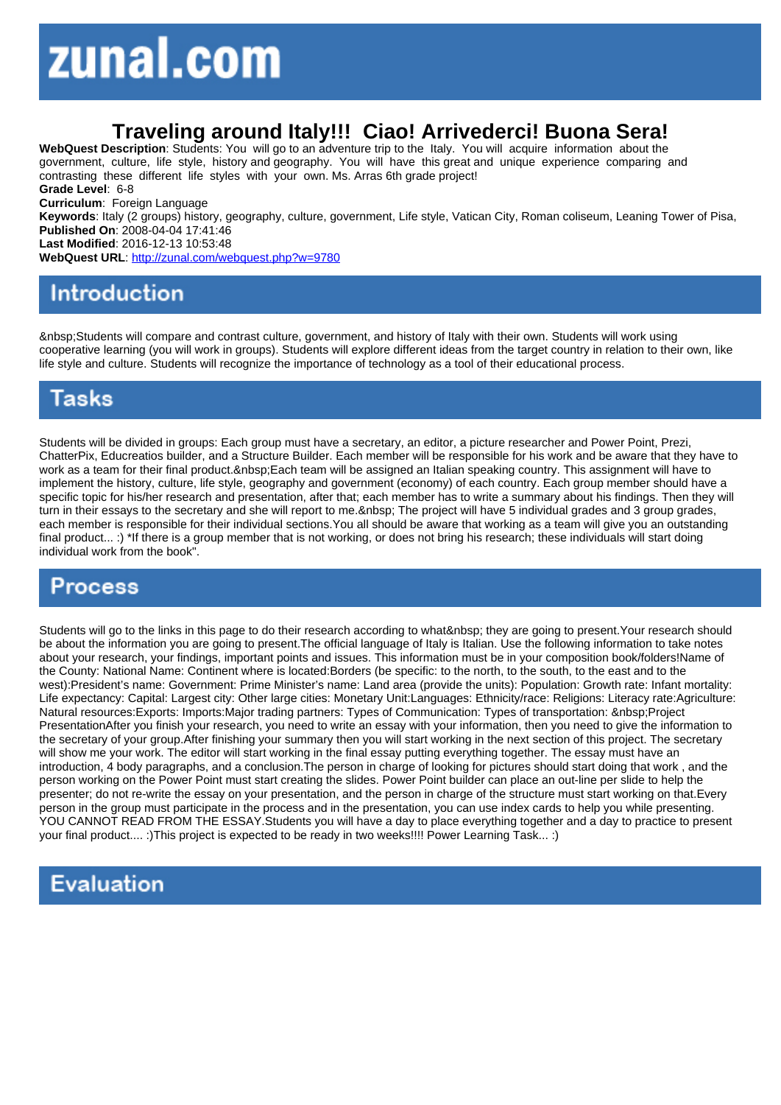## Traveling around Italy!!! Ciao! Arrivederci! Buona Sera!

WebQuest Description: Students: You will go to an adventure trip to the Italy. You will acquire information about the government, culture, life style, history and geography. You will have this great and unique experience comparing and contrasting these different life styles with your own. Ms. Arras 6th grade project! Grade Level: 6-8 Curriculum: Foreign Language Keywords: Italy (2 groups) history, geography, culture, government, Life style, Vatican City, Roman coliseum, Leaning Tower of Pisa, Published On: 2008-04-04 17:41:46 Last Modified: 2016-12-13 10:53:48 WebQuest URL: http://zunal.com/webquest.php?w=9780

 Students will compare and contrast culture, government, and history of Italy with their own. Students will work using cooperative learning (you will work in groups). Students will explore different ideas from the target country in relation to their own, like life style and culture. Students will recognize the importance of technology as a tool of their educational process.

Students will be divided in groups: Each group must have a secretary, an editor, a picture researcher and Power Point, Prezi, ChatterPix, Educreatios builder, and a Structure Builder. Each member will be responsible for his work and be aware that they have to work as a team for their final product. Each team will be assigned an Italian speaking country. This assignment will have to implement the history, culture, life style, geography and government (economy) of each country. Each group member should have a specific topic for his/her research and presentation, after that; each member has to write a summary about his findings. Then they will turn in their essays to the secretary and she will report to me. The project will have 5 individual grades and 3 group grades, each member is responsible for their individual sections.You all should be aware that working as a team will give you an outstanding final product... :) \*If there is a group member that is not working, or does not bring his research; these individuals will start doing individual work from the book".

Students will go to the links in this page to do their research according to what they are going to present.Your research should be about the information you are going to present.The official language of Italy is Italian. Use the following information to take notes about your research, your findings, important points and issues. This information must be in your composition book/folders!Name of the County: National Name: Continent where is located:Borders (be specific: to the north, to the south, to the east and to the west):President's name: Government: Prime Minister's name: Land area (provide the units): Population: Growth rate: Infant mortality: Life expectancy: Capital: Largest city: Other large cities: Monetary Unit:Languages: Ethnicity/race: Religions: Literacy rate:Agriculture: Natural resources:Exports: Imports:Major trading partners: Types of Communication: Types of transportation: Project PresentationAfter you finish your research, you need to write an essay with your information, then you need to give the information to the secretary of your group.After finishing your summary then you will start working in the next section of this project. The secretary will show me your work. The editor will start working in the final essay putting everything together. The essay must have an introduction, 4 body paragraphs, and a conclusion.The person in charge of looking for pictures should start doing that work , and the person working on the Power Point must start creating the slides. Power Point builder can place an out-line per slide to help the presenter; do not re-write the essay on your presentation, and the person in charge of the structure must start working on that.Every person in the group must participate in the process and in the presentation, you can use index cards to help you while presenting. YOU CANNOT READ FROM THE ESSAY.Students you will have a day to place everything together and a day to practice to present your final product.... :)This project is expected to be ready in two weeks!!!! Power Learning Task... :)